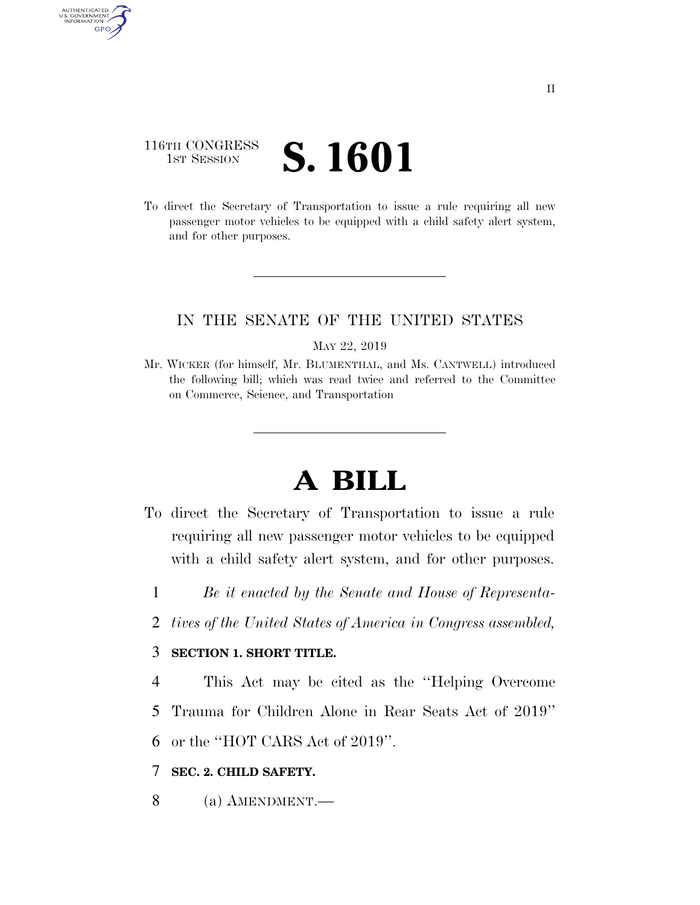## 116TH CONGRESS **1ST SESSION S. 1601**

AUTHENTICATED<br>U.S. GOVERNMENT<br>INFORMATION **GPO** 

> To direct the Secretary of Transportation to issue a rule requiring all new passenger motor vehicles to be equipped with a child safety alert system, and for other purposes.

### IN THE SENATE OF THE UNITED STATES

MAY 22, 2019

Mr. WICKER (for himself, Mr. BLUMENTHAL, and Ms. CANTWELL) introduced the following bill; which was read twice and referred to the Committee on Commerce, Science, and Transportation

# **A BILL**

- To direct the Secretary of Transportation to issue a rule requiring all new passenger motor vehicles to be equipped with a child safety alert system, and for other purposes.
	- 1 *Be it enacted by the Senate and House of Representa-*
	- 2 *tives of the United States of America in Congress assembled,*

### 3 **SECTION 1. SHORT TITLE.**

4 This Act may be cited as the ''Helping Overcome 5 Trauma for Children Alone in Rear Seats Act of 2019'' 6 or the ''HOT CARS Act of 2019''.

### 7 **SEC. 2. CHILD SAFETY.**

8 (a) AMENDMENT.—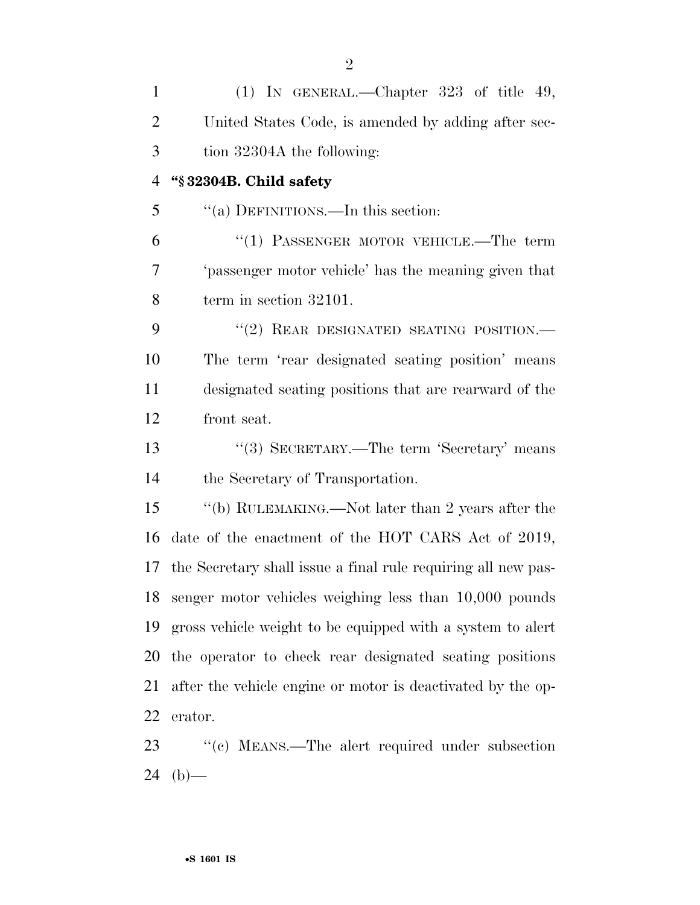| $\mathbf{1}$   | (1) IN GENERAL.—Chapter $323$ of title 49,                    |
|----------------|---------------------------------------------------------------|
| $\overline{2}$ | United States Code, is amended by adding after sec-           |
| 3              | tion 32304A the following:                                    |
| $\overline{4}$ | "§32304B. Child safety                                        |
| 5              | "(a) DEFINITIONS.—In this section:                            |
| 6              | " $(1)$ PASSENGER MOTOR VEHICLE.—The term                     |
| 7              | 'passenger motor vehicle' has the meaning given that          |
| 8              | term in section 32101.                                        |
| 9              | "(2) REAR DESIGNATED SEATING POSITION.-                       |
| 10             | The term 'rear designated seating position' means             |
| 11             | designated seating positions that are rearward of the         |
| 12             | front seat.                                                   |
| 13             | "(3) SECRETARY.—The term 'Secretary' means                    |
| 14             | the Secretary of Transportation.                              |
| 15             | "(b) RULEMAKING.—Not later than 2 years after the             |
| 16             | date of the enactment of the HOT CARS Act of 2019,            |
| 17             | the Secretary shall issue a final rule requiring all new pas- |
|                | 18 senger motor vehicles weighing less than 10,000 pounds     |
| 19             | gross vehicle weight to be equipped with a system to alert    |
| 20             | the operator to check rear designated seating positions       |
| 21             | after the vehicle engine or motor is deactivated by the op-   |
| 22             | erator.                                                       |
| 23             | "(c) MEANS.—The alert required under subsection               |

(b)—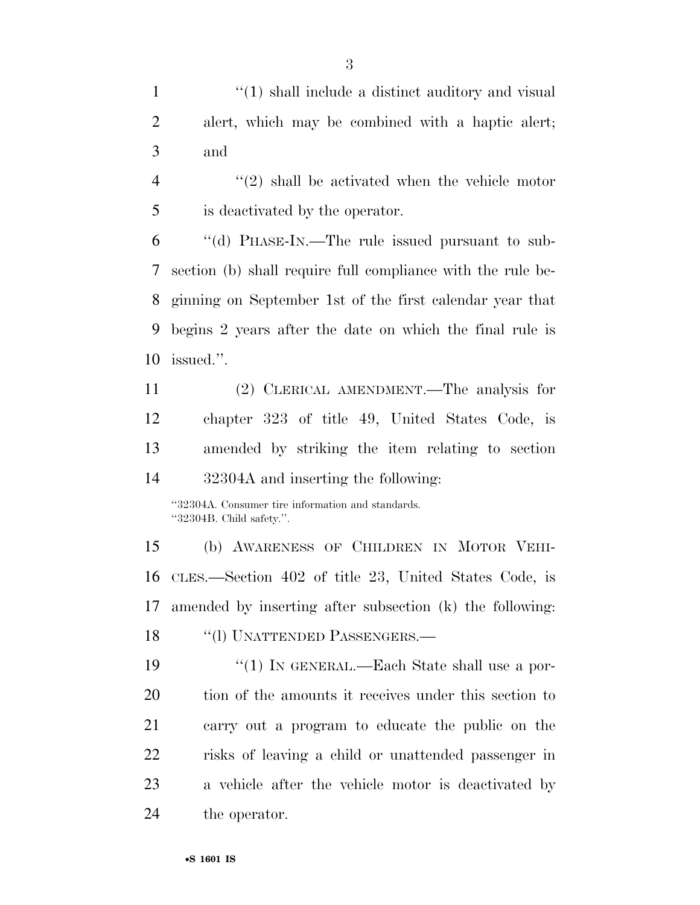1 ''(1) shall include a distinct auditory and visual alert, which may be combined with a haptic alert; and

4 "(2) shall be activated when the vehicle motor is deactivated by the operator.

 ''(d) PHASE-IN.—The rule issued pursuant to sub- section (b) shall require full compliance with the rule be- ginning on September 1st of the first calendar year that begins 2 years after the date on which the final rule is issued.''.

 (2) CLERICAL AMENDMENT.—The analysis for chapter 323 of title 49, United States Code, is amended by striking the item relating to section 32304A and inserting the following:

''32304A. Consumer tire information and standards. ''32304B. Child safety.''.

 (b) AWARENESS OF CHILDREN IN MOTOR VEHI- CLES.—Section 402 of title 23, United States Code, is amended by inserting after subsection (k) the following: 18 "(1) UNATTENDED PASSENGERS.—

 ''(1) IN GENERAL.—Each State shall use a por- tion of the amounts it receives under this section to carry out a program to educate the public on the risks of leaving a child or unattended passenger in a vehicle after the vehicle motor is deactivated by the operator.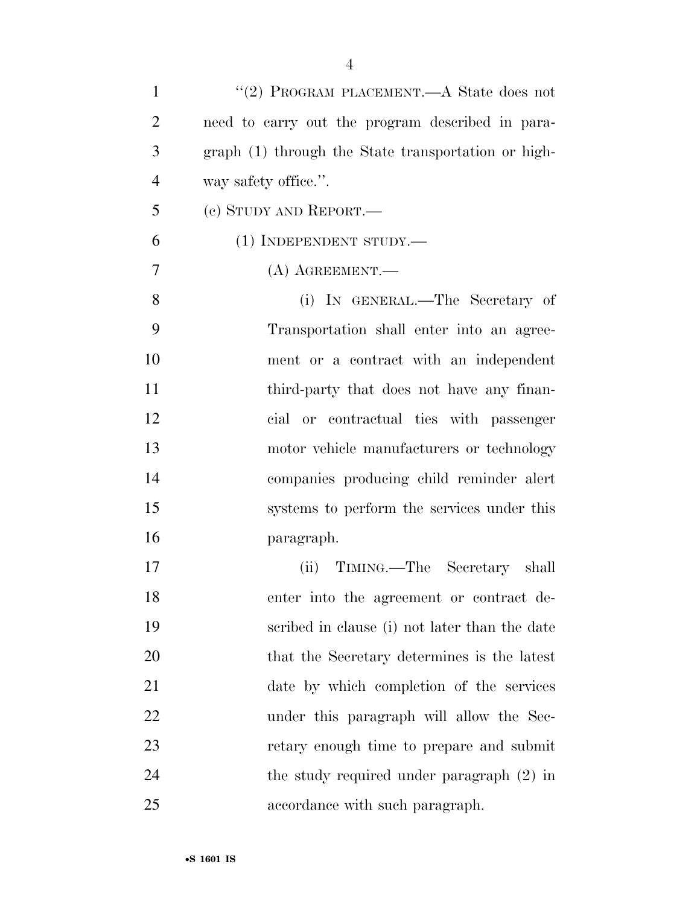| $\mathbf{1}$   | "(2) PROGRAM PLACEMENT.—A State does not            |
|----------------|-----------------------------------------------------|
| $\overline{2}$ | need to carry out the program described in para-    |
| 3              | graph (1) through the State transportation or high- |
| $\overline{4}$ | way safety office.".                                |
| 5              | (c) STUDY AND REPORT.—                              |
| 6              | $(1)$ INDEPENDENT STUDY.—                           |
| 7              | $(A)$ AGREEMENT.—                                   |
| 8              | (i) IN GENERAL.—The Secretary of                    |
| 9              | Transportation shall enter into an agree-           |
| 10             | ment or a contract with an independent              |
| 11             | third-party that does not have any finan-           |
| 12             | cial or contractual ties with passenger             |
| 13             | motor vehicle manufacturers or technology           |
| 14             | companies producing child reminder alert            |
| 15             | systems to perform the services under this          |
| 16             | paragraph.                                          |
| 17             | (ii) TIMING.—The Secretary shall                    |
| 18             | enter into the agreement or contract de-            |
| 19             | scribed in clause (i) not later than the date       |
| 20             | that the Secretary determines is the latest         |
| 21             | date by which completion of the services            |
| 22             | under this paragraph will allow the Sec-            |
| 23             | retary enough time to prepare and submit            |
| 24             | the study required under paragraph $(2)$ in         |
| 25             | accordance with such paragraph.                     |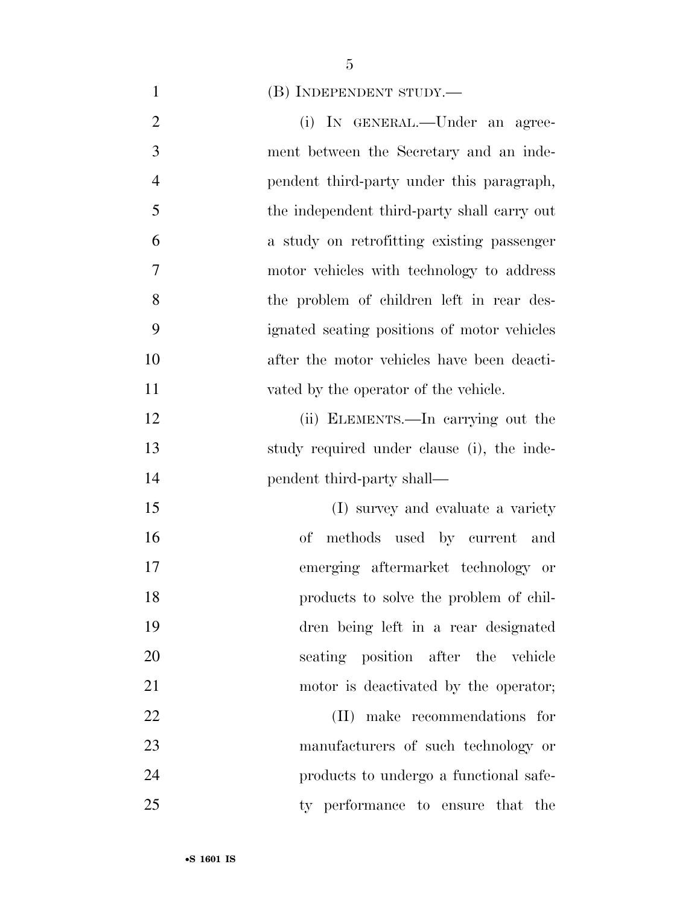(B) INDEPENDENT STUDY.—

- 2 (i) IN GENERAL.—Under an agree- ment between the Secretary and an inde- pendent third-party under this paragraph, the independent third-party shall carry out a study on retrofitting existing passenger motor vehicles with technology to address the problem of children left in rear des- ignated seating positions of motor vehicles after the motor vehicles have been deacti- vated by the operator of the vehicle. (ii) ELEMENTS.—In carrying out the study required under clause (i), the inde-14 pendent third-party shall— (I) survey and evaluate a variety of methods used by current and emerging aftermarket technology or products to solve the problem of chil- dren being left in a rear designated seating position after the vehicle motor is deactivated by the operator; (II) make recommendations for manufacturers of such technology or products to undergo a functional safe-
- ty performance to ensure that the